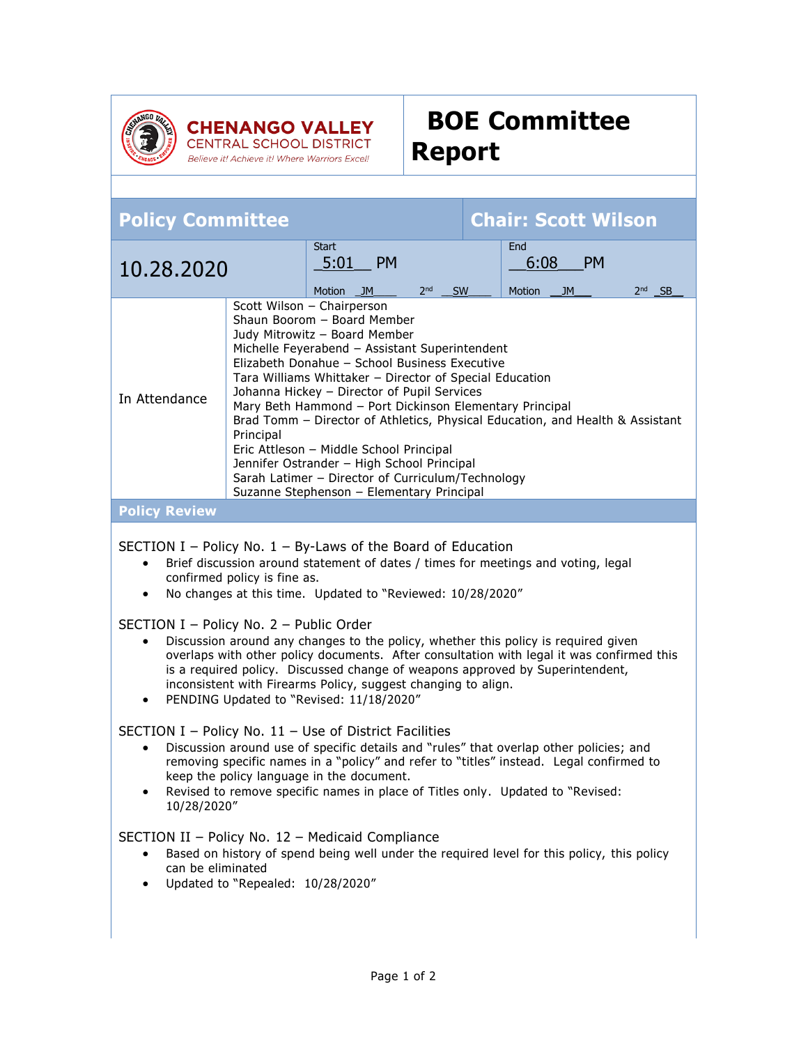

Believe it! Achieve it! Where Warriors Excel!

## **BOE Committee Report**

| <b>Chair: Scott Wilson</b><br><b>Policy Committee</b>                                                                                                                                                                                                                                                                                                                                                                                                                                                                                                                                                                                                                                                                                                                                                                                                                                                                                                                                                                                                                                                                                                                                                                                                                                                                           |  |                                                          |                 |    |                                           |                                           |
|---------------------------------------------------------------------------------------------------------------------------------------------------------------------------------------------------------------------------------------------------------------------------------------------------------------------------------------------------------------------------------------------------------------------------------------------------------------------------------------------------------------------------------------------------------------------------------------------------------------------------------------------------------------------------------------------------------------------------------------------------------------------------------------------------------------------------------------------------------------------------------------------------------------------------------------------------------------------------------------------------------------------------------------------------------------------------------------------------------------------------------------------------------------------------------------------------------------------------------------------------------------------------------------------------------------------------------|--|----------------------------------------------------------|-----------------|----|-------------------------------------------|-------------------------------------------|
| 10.28.2020                                                                                                                                                                                                                                                                                                                                                                                                                                                                                                                                                                                                                                                                                                                                                                                                                                                                                                                                                                                                                                                                                                                                                                                                                                                                                                                      |  | <b>Start</b><br><b>PM</b><br>5:01<br>Motion<br><b>JM</b> | 2 <sub>nd</sub> | SW | <b>End</b><br>6:08<br><b>Motion</b><br>JM | <b>PM</b><br>2 <sub>nd</sub><br><b>SB</b> |
| Scott Wilson - Chairperson<br>Shaun Boorom - Board Member<br>Judy Mitrowitz - Board Member<br>Michelle Feyerabend - Assistant Superintendent<br>Elizabeth Donahue - School Business Executive<br>Tara Williams Whittaker - Director of Special Education<br>Johanna Hickey - Director of Pupil Services<br>In Attendance<br>Mary Beth Hammond - Port Dickinson Elementary Principal<br>Brad Tomm - Director of Athletics, Physical Education, and Health & Assistant<br>Principal<br>Eric Attleson - Middle School Principal<br>Jennifer Ostrander - High School Principal<br>Sarah Latimer - Director of Curriculum/Technology<br>Suzanne Stephenson - Elementary Principal                                                                                                                                                                                                                                                                                                                                                                                                                                                                                                                                                                                                                                                    |  |                                                          |                 |    |                                           |                                           |
| <b>Policy Review</b>                                                                                                                                                                                                                                                                                                                                                                                                                                                                                                                                                                                                                                                                                                                                                                                                                                                                                                                                                                                                                                                                                                                                                                                                                                                                                                            |  |                                                          |                 |    |                                           |                                           |
| SECTION I – Policy No. $1$ – By-Laws of the Board of Education<br>Brief discussion around statement of dates / times for meetings and voting, legal<br>confirmed policy is fine as.<br>No changes at this time. Updated to "Reviewed: 10/28/2020"<br>$\bullet$<br>SECTION I - Policy No. 2 - Public Order<br>Discussion around any changes to the policy, whether this policy is required given<br>$\bullet$<br>overlaps with other policy documents. After consultation with legal it was confirmed this<br>is a required policy. Discussed change of weapons approved by Superintendent,<br>inconsistent with Firearms Policy, suggest changing to align.<br>PENDING Updated to "Revised: 11/18/2020"<br>SECTION I - Policy No. $11$ - Use of District Facilities<br>Discussion around use of specific details and "rules" that overlap other policies; and<br>removing specific names in a "policy" and refer to "titles" instead. Legal confirmed to<br>keep the policy language in the document.<br>Revised to remove specific names in place of Titles only. Updated to "Revised:<br>$\bullet$<br>10/28/2020"<br>SECTION II - Policy No. 12 - Medicaid Compliance<br>Based on history of spend being well under the required level for this policy, this policy<br>can be eliminated<br>Updated to "Repealed: 10/28/2020" |  |                                                          |                 |    |                                           |                                           |